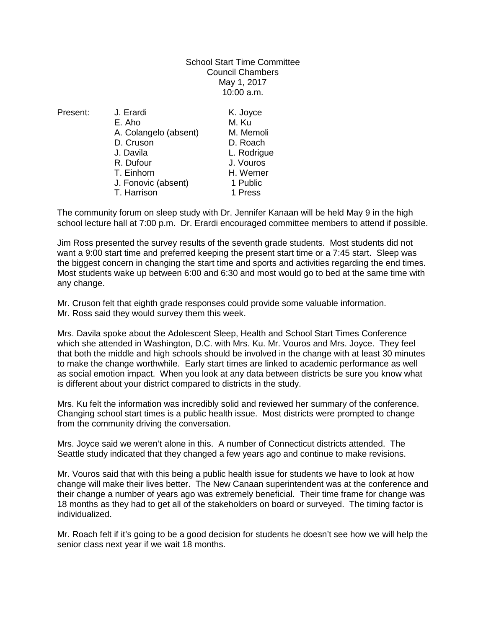## School Start Time Committee Council Chambers May 1, 2017 10:00 a.m.

Present: J. Erardi K. Joyce E. Aho M. Ku A. Colangelo (absent) M. Memoli D. Cruson D. Roach J. Davila L. Rodrigue T. Einhorn H. Werner J. Fonovic (absent) 1 Public T. Harrison 1 Press

J. Vouros

The community forum on sleep study with Dr. Jennifer Kanaan will be held May 9 in the high school lecture hall at 7:00 p.m. Dr. Erardi encouraged committee members to attend if possible.

Jim Ross presented the survey results of the seventh grade students. Most students did not want a 9:00 start time and preferred keeping the present start time or a 7:45 start. Sleep was the biggest concern in changing the start time and sports and activities regarding the end times. Most students wake up between 6:00 and 6:30 and most would go to bed at the same time with any change.

Mr. Cruson felt that eighth grade responses could provide some valuable information. Mr. Ross said they would survey them this week.

Mrs. Davila spoke about the Adolescent Sleep, Health and School Start Times Conference which she attended in Washington, D.C. with Mrs. Ku. Mr. Vouros and Mrs. Joyce. They feel that both the middle and high schools should be involved in the change with at least 30 minutes to make the change worthwhile. Early start times are linked to academic performance as well as social emotion impact. When you look at any data between districts be sure you know what is different about your district compared to districts in the study.

Mrs. Ku felt the information was incredibly solid and reviewed her summary of the conference. Changing school start times is a public health issue. Most districts were prompted to change from the community driving the conversation.

Mrs. Joyce said we weren't alone in this. A number of Connecticut districts attended. The Seattle study indicated that they changed a few years ago and continue to make revisions.

Mr. Vouros said that with this being a public health issue for students we have to look at how change will make their lives better. The New Canaan superintendent was at the conference and their change a number of years ago was extremely beneficial. Their time frame for change was 18 months as they had to get all of the stakeholders on board or surveyed. The timing factor is individualized.

Mr. Roach felt if it's going to be a good decision for students he doesn't see how we will help the senior class next year if we wait 18 months.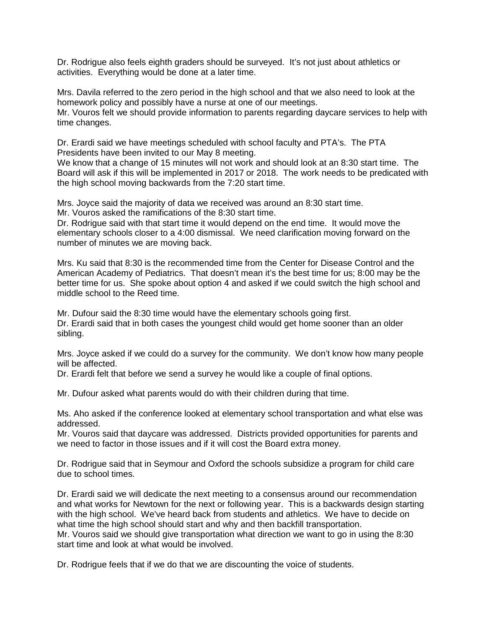Dr. Rodrigue also feels eighth graders should be surveyed. It's not just about athletics or activities. Everything would be done at a later time.

Mrs. Davila referred to the zero period in the high school and that we also need to look at the homework policy and possibly have a nurse at one of our meetings. Mr. Vouros felt we should provide information to parents regarding daycare services to help with time changes.

Dr. Erardi said we have meetings scheduled with school faculty and PTA's. The PTA Presidents have been invited to our May 8 meeting.

We know that a change of 15 minutes will not work and should look at an 8:30 start time. The Board will ask if this will be implemented in 2017 or 2018. The work needs to be predicated with the high school moving backwards from the 7:20 start time.

Mrs. Joyce said the majority of data we received was around an 8:30 start time.

Mr. Vouros asked the ramifications of the 8:30 start time.

Dr. Rodrigue said with that start time it would depend on the end time. It would move the elementary schools closer to a 4:00 dismissal. We need clarification moving forward on the number of minutes we are moving back.

Mrs. Ku said that 8:30 is the recommended time from the Center for Disease Control and the American Academy of Pediatrics. That doesn't mean it's the best time for us; 8:00 may be the better time for us. She spoke about option 4 and asked if we could switch the high school and middle school to the Reed time.

Mr. Dufour said the 8:30 time would have the elementary schools going first. Dr. Erardi said that in both cases the youngest child would get home sooner than an older sibling.

Mrs. Joyce asked if we could do a survey for the community. We don't know how many people will be affected.

Dr. Erardi felt that before we send a survey he would like a couple of final options.

Mr. Dufour asked what parents would do with their children during that time.

Ms. Aho asked if the conference looked at elementary school transportation and what else was addressed.

Mr. Vouros said that daycare was addressed. Districts provided opportunities for parents and we need to factor in those issues and if it will cost the Board extra money.

Dr. Rodrigue said that in Seymour and Oxford the schools subsidize a program for child care due to school times.

Dr. Erardi said we will dedicate the next meeting to a consensus around our recommendation and what works for Newtown for the next or following year. This is a backwards design starting with the high school. We've heard back from students and athletics. We have to decide on what time the high school should start and why and then backfill transportation. Mr. Vouros said we should give transportation what direction we want to go in using the 8:30 start time and look at what would be involved.

Dr. Rodrigue feels that if we do that we are discounting the voice of students.